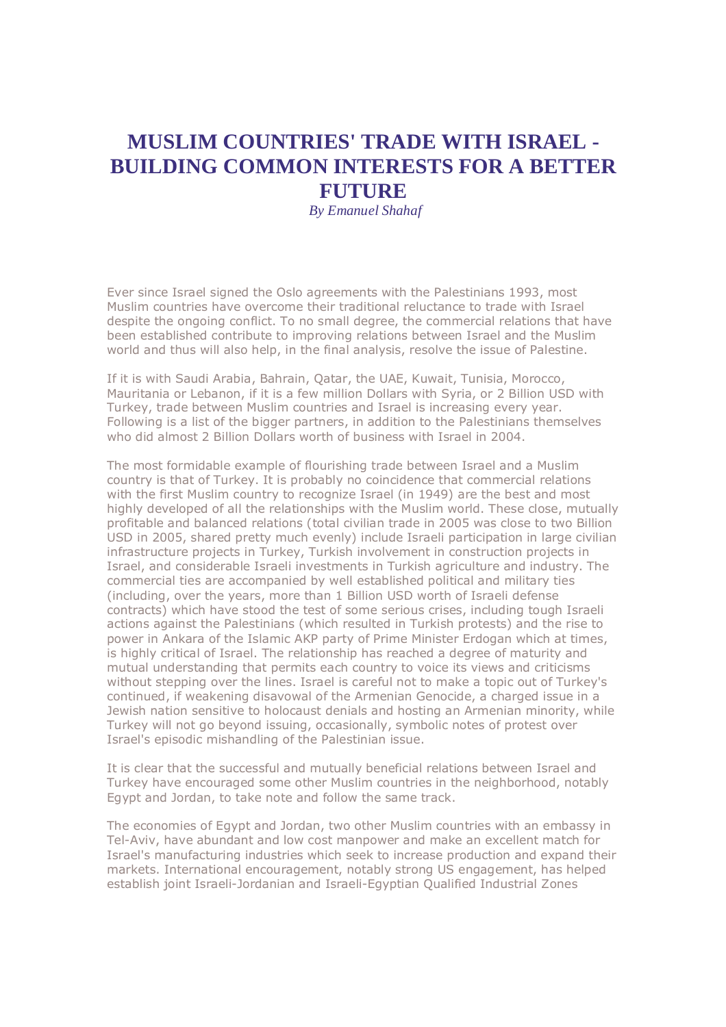## **MUSLIM COUNTRIES' TRADE WITH ISRAEL - BUILDING COMMON INTERESTS FOR A BETTER FUTURE**

*By Emanuel Shahaf*

Ever since Israel signed the Oslo agreements with the Palestinians 1993, most Muslim countries have overcome their traditional reluctance to trade with Israel despite the ongoing conflict. To no small degree, the commercial relations that have been established contribute to improving relations between Israel and the Muslim world and thus will also help, in the final analysis, resolve the issue of Palestine.

If it is with Saudi Arabia, Bahrain, Qatar, the UAE, Kuwait, Tunisia, Morocco, Mauritania or Lebanon, if it is a few million Dollars with Syria, or 2 Billion USD with Turkey, trade between Muslim countries and Israel is increasing every year. Following is a list of the bigger partners, in addition to the Palestinians themselves who did almost 2 Billion Dollars worth of business with Israel in 2004.

The most formidable example of flourishing trade between Israel and a Muslim country is that of Turkey. It is probably no coincidence that commercial relations with the first Muslim country to recognize Israel (in 1949) are the best and most highly developed of all the relationships with the Muslim world. These close, mutually profitable and balanced relations (total civilian trade in 2005 was close to two Billion USD in 2005, shared pretty much evenly) include Israeli participation in large civilian infrastructure projects in Turkey, Turkish involvement in construction projects in Israel, and considerable Israeli investments in Turkish agriculture and industry. The commercial ties are accompanied by well established political and military ties (including, over the years, more than 1 Billion USD worth of Israeli defense contracts) which have stood the test of some serious crises, including tough Israeli actions against the Palestinians (which resulted in Turkish protests) and the rise to power in Ankara of the Islamic AKP party of Prime Minister Erdogan which at times, is highly critical of Israel. The relationship has reached a degree of maturity and mutual understanding that permits each country to voice its views and criticisms without stepping over the lines. Israel is careful not to make a topic out of Turkey's continued, if weakening disavowal of the Armenian Genocide, a charged issue in a Jewish nation sensitive to holocaust denials and hosting an Armenian minority, while Turkey will not go beyond issuing, occasionally, symbolic notes of protest over Israel's episodic mishandling of the Palestinian issue.

It is clear that the successful and mutually beneficial relations between Israel and Turkey have encouraged some other Muslim countries in the neighborhood, notably Egypt and Jordan, to take note and follow the same track.

The economies of Egypt and Jordan, two other Muslim countries with an embassy in Tel-Aviv, have abundant and low cost manpower and make an excellent match for Israel's manufacturing industries which seek to increase production and expand their markets. International encouragement, notably strong US engagement, has helped establish joint Israeli-Jordanian and Israeli-Egyptian Qualified Industrial Zones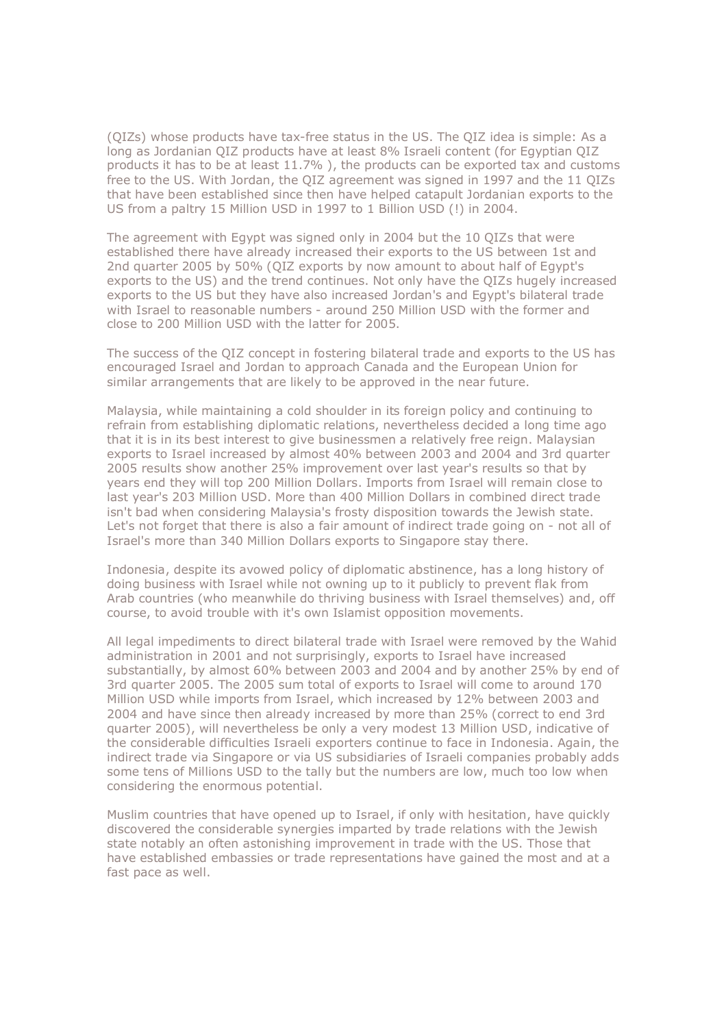(QIZs) whose products have tax-free status in the US. The QIZ idea is simple: As a long as Jordanian QIZ products have at least 8% Israeli content (for Egyptian QIZ products it has to be at least 11.7% ), the products can be exported tax and customs free to the US. With Jordan, the QIZ agreement was signed in 1997 and the 11 QIZs that have been established since then have helped catapult Jordanian exports to the US from a paltry 15 Million USD in 1997 to 1 Billion USD (!) in 2004.

The agreement with Egypt was signed only in 2004 but the 10 QIZs that were established there have already increased their exports to the US between 1st and 2nd quarter 2005 by 50% (QIZ exports by now amount to about half of Egypt's exports to the US) and the trend continues. Not only have the QIZs hugely increased exports to the US but they have also increased Jordan's and Egypt's bilateral trade with Israel to reasonable numbers - around 250 Million USD with the former and close to 200 Million USD with the latter for 2005.

The success of the QIZ concept in fostering bilateral trade and exports to the US has encouraged Israel and Jordan to approach Canada and the European Union for similar arrangements that are likely to be approved in the near future.

Malaysia, while maintaining a cold shoulder in its foreign policy and continuing to refrain from establishing diplomatic relations, nevertheless decided a long time ago that it is in its best interest to give businessmen a relatively free reign. Malaysian exports to Israel increased by almost 40% between 2003 and 2004 and 3rd quarter 2005 results show another 25% improvement over last year's results so that by years end they will top 200 Million Dollars. Imports from Israel will remain close to last year's 203 Million USD. More than 400 Million Dollars in combined direct trade isn't bad when considering Malaysia's frosty disposition towards the Jewish state. Let's not forget that there is also a fair amount of indirect trade going on - not all of Israel's more than 340 Million Dollars exports to Singapore stay there.

Indonesia, despite its avowed policy of diplomatic abstinence, has a long history of doing business with Israel while not owning up to it publicly to prevent flak from Arab countries (who meanwhile do thriving business with Israel themselves) and, off course, to avoid trouble with it's own Islamist opposition movements.

All legal impediments to direct bilateral trade with Israel were removed by the Wahid administration in 2001 and not surprisingly, exports to Israel have increased substantially, by almost 60% between 2003 and 2004 and by another 25% by end of 3rd quarter 2005. The 2005 sum total of exports to Israel will come to around 170 Million USD while imports from Israel, which increased by 12% between 2003 and 2004 and have since then already increased by more than 25% (correct to end 3rd quarter 2005), will nevertheless be only a very modest 13 Million USD, indicative of the considerable difficulties Israeli exporters continue to face in Indonesia. Again, the indirect trade via Singapore or via US subsidiaries of Israeli companies probably adds some tens of Millions USD to the tally but the numbers are low, much too low when considering the enormous potential.

Muslim countries that have opened up to Israel, if only with hesitation, have quickly discovered the considerable synergies imparted by trade relations with the Jewish state notably an often astonishing improvement in trade with the US. Those that have established embassies or trade representations have gained the most and at a fast pace as well.